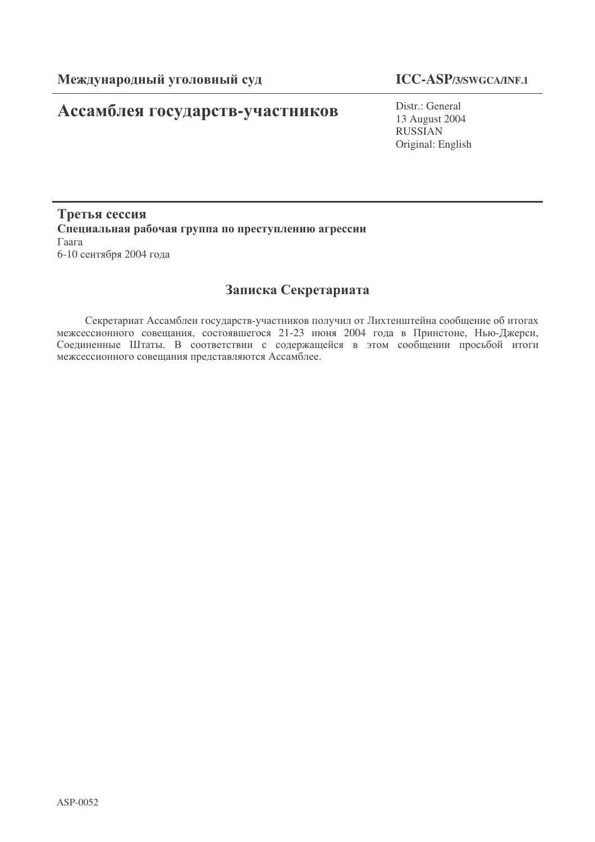# Ассамблея государств-участников

## **ICC-ASP/3/SWGCA/INF.1**

Distr.: General 13 August 2004 RUSSIAN Original: English

### Третья сессия Специальная рабочая группа по преступлению агрессии  $\Gamma$ aara 6-10 сентября 2004 года

## Записка Секретариата

Секретариат Ассамблеи государств-участников получил от Лихтенштейна сообщение об итогах межсессионного совещания, состоявшегося 21-23 июня 2004 года в Принстоне, Нью-Джерси, Соединенные Штаты. В соответствии с содержащейся в этом сообщении просьбой итоги межсессионного совещания представляются Ассамблее.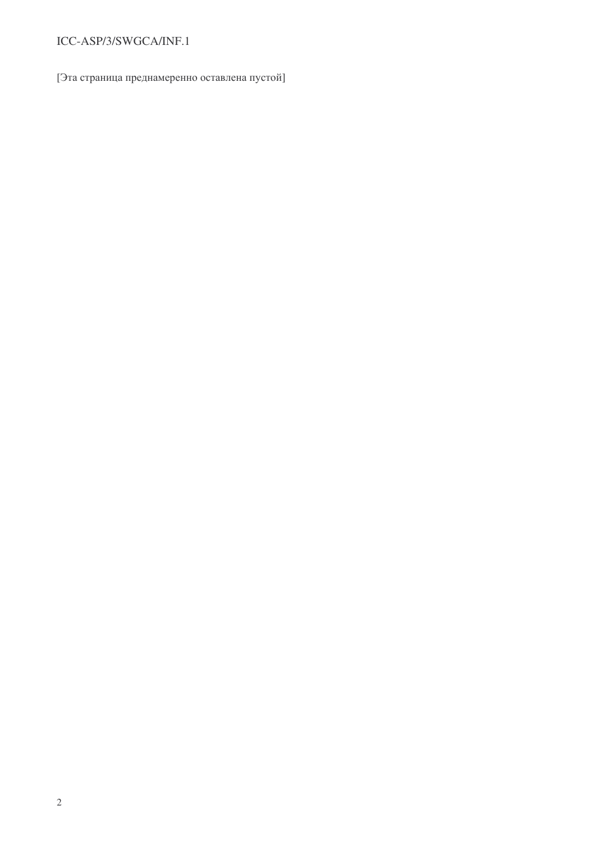## ICC-ASP/3/SWGCA/INF.1

[Эта страница преднамеренно оставлена пустой]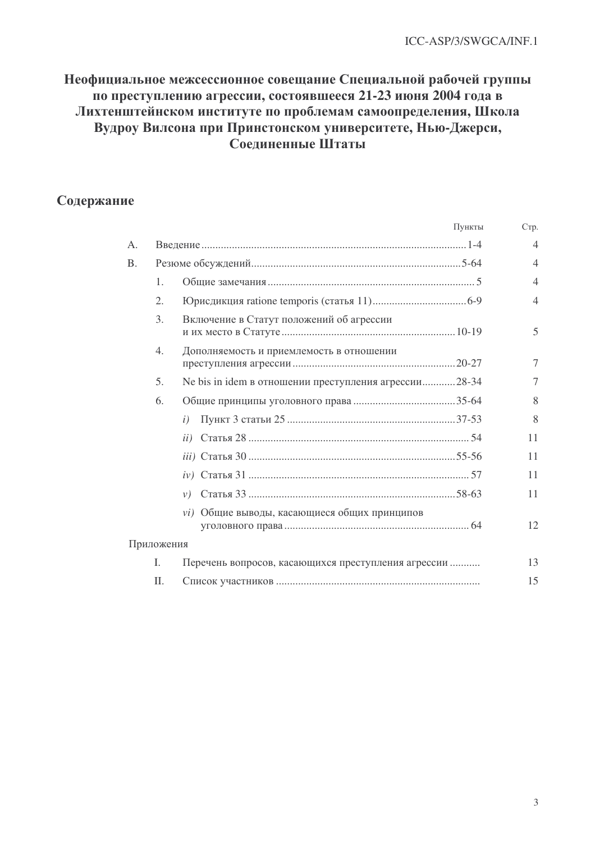## Неофициальное межсессионное совещание Специальной рабочей группы по преступлению агрессии, состоявшееся 21-23 июня 2004 года в Лихтенштейнском институте по проблемам самоопределения, Школа Вудроу Вилсона при Принстонском университете, Нью-Джерси, Соединенные Штаты

## Содержание

|           |            | Пункты                                                | C <sub>T</sub> p. |
|-----------|------------|-------------------------------------------------------|-------------------|
| A.        |            |                                                       | $\overline{4}$    |
| <b>B.</b> |            |                                                       | $\overline{4}$    |
|           | 1.         |                                                       | $\overline{4}$    |
|           | 2.         |                                                       | $\overline{4}$    |
|           | 3.         | Включение в Статут положений об агрессии              | 5                 |
|           | 4.         | Дополняемость и приемлемость в отношении              | 7                 |
|           | 5.         | Ne bis in idem в отношении преступления агрессии28-34 | 7                 |
|           | 6.         |                                                       | 8                 |
|           |            | $\iota$                                               | 8                 |
|           |            |                                                       | 11                |
|           |            |                                                       | 11                |
|           |            |                                                       | 11                |
|           |            |                                                       | 11                |
|           |            | vi) Общие выводы, касающиеся общих принципов          | 12                |
|           | Приложения |                                                       |                   |
|           | Ι.         | Перечень вопросов, касающихся преступления агрессии   | 13                |
|           | Π.         |                                                       | 15                |
|           |            |                                                       |                   |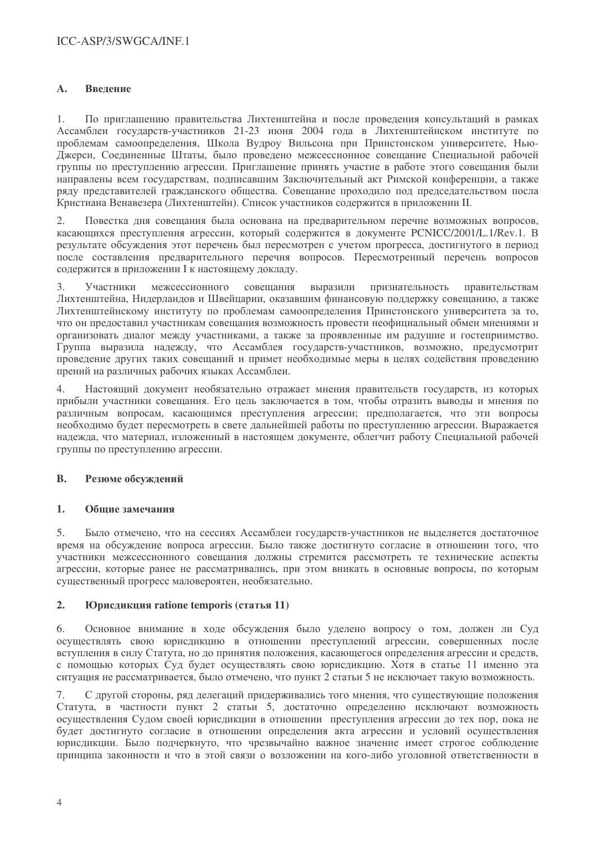#### $\mathbf{A}$ . Введение

По приглашению правительства Лихтенштейна и после провеления консультаций в рамках  $\mathbf{1}$ Ассамблеи государств-участников 21-23 июня 2004 года в Лихтенштейнском институте по проблемам самоопределения, Школа Вудроу Вильсона при Принстонском университете, Нью-Лжерси. Соелиненные Штаты, было провелено межсессионное совешание Специальной рабочей группы по преступлению агрессии. Приглашение принять участие в работе этого совещания были направлены всем государствам, подписавшим Заключительный акт Римской конференции, а также ряду представителей гражданского общества. Совещание проходило под председательством посла Кристиана Венавезера (Лихтенштейн). Список участников содержится в приложении II.

 $2.$ Повестка дня совещания была основана на предварительном перечне возможных вопросов, касающихся преступления агрессии, который содержится в документе PCNICC/2001/L.1/Rev.1, B результате обсуждения этот перечень был пересмотрен с учетом прогресса, достигнутого в период после составления предварительного перечня вопросов. Пересмотренный перечень вопросов содержится в приложении I к настоящему докладу.

 $\mathcal{E}$ межсессионного выразили признательность Участники совещания правительствам Лихтенштейна, Нидерландов и Швейцарии, оказавшим финансовую поддержку совещанию, а также Лихтенштейнскому институту по проблемам самоопределения Принстонского университета за то. что он предоставил участникам совещания возможность провести неофициальный обмен мнениями и организовать лиалог межлу участниками, а также за проявленные им ралушие и гостеприимство. Группа выразила надежду, что Ассамблея государств-участников, возможно, предусмотрит проведение других таких совещаний и примет необходимые меры в целях содействия проведению прений на различных рабочих языках Ассамблеи.

Настоящий документ необязательно отражает мнения правительств государств, из которых  $4.$ прибыли участники совешания. Его цель заключается в том, чтобы отразить выволы и мнения по различным вопросам, касающимся преступления агрессии; предполагается, что эти вопросы необходимо будет пересмотреть в свете дальнейшей работы по преступлению агрессии. Выражается надежда, что материал, изложенный в настоящем документе, облегчит работу Специальной рабочей группы по преступлению агрессии.

#### **B.** Резюме обсуждений

#### $\mathbf{1}$ . Общие замечания

 $5<sub>1</sub>$ Было отмечено, что на сессиях Ассамблеи государств-участников не выделяется достаточное время на обсуждение вопроса агрессии. Было также достигнуто согласие в отношении того, что участники межсессионного совещания должны стремится рассмотреть те технические аспекты агрессии, которые ранее не рассматривались, при этом вникать в основные вопросы, по которым существенный прогресс маловероятен, необязательно.

#### $2.$ Юрисдикция ratione temporis (статья 11)

Основное внимание в ходе обсуждения было уделено вопросу о том, должен ли Суд 6. осуществлять свою юрисдикцию в отношении преступлений агрессии, совершенных после вступления в силу Статута, но до принятия положения, касающегося определения агрессии и средств, с помощью которых Суд будет осуществлять свою юрисдикцию. Хотя в статье 11 именно эта ситуация не рассматривается, было отмечено, что пункт 2 статьи 5 не исключает такую возможность.

7. С другой стороны, ряд делегаций придерживались того мнения, что существующие положения Статута, в частности пункт 2 статьи 5, достаточно определенно исключают возможность осуществления Судом своей юрисдикции в отношении преступления агрессии до тех пор, пока не будет достигнуто согласие в отношении определения акта агрессии и условий осуществления юрисдикции. Было подчеркнуто, что чрезвычайно важное значение имеет строгое соблюдение принципа законности и что в этой связи о возложении на кого-либо уголовной ответственности в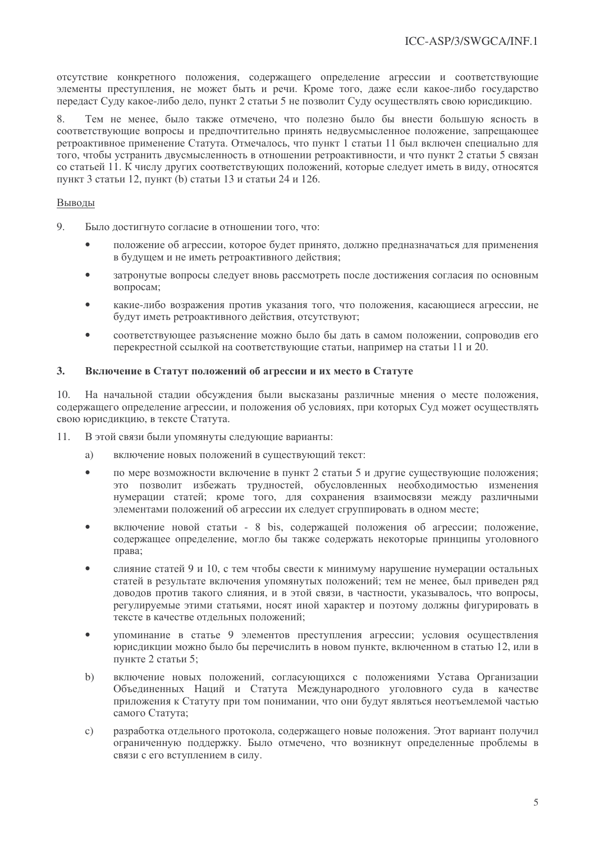отсутствие конкретного положения, содержащего определение агрессии и соответствующие элементы преступления, не может быть и речи. Кроме того, даже если какое-либо государство передаст Суду какое-либо дело, пункт 2 статьи 5 не позволит Суду осуществлять свою юрисликцию.

Тем не менее, было также отмечено, что полезно было бы внести большую ясность в  $\mathsf{R}$ соответствующие вопросы и предпочтительно принять недвусмысленное положение, запрешающее ретроактивное применение Статута. Отмечалось, что пункт 1 статьи 11 был включен специально для того, чтобы устранить двусмысленность в отношении ретроактивности, и что пункт 2 статьи 5 связан со статьей 11. К числу других соответствующих положений, которые следует иметь в виду, относятся пункт 3 статьи 12, пункт (b) статьи 13 и статьи 24 и 126.

#### Выволы

- $\mathbf Q$ Было лостигнуто согласие в отношении того, что:
	- положение об агрессии, которое будет принято, должно предназначаться для применения в будущем и не иметь ретроактивного действия;
	- затронутые вопросы слелует вновь рассмотреть после лостижения согласия по основным  $\bullet$ вопросам;
	- какие-либо возражения против указания того, что положения, касающиеся агрессии, не будут иметь ретроактивного действия, отсутствуют:
	- соответствующее разъяснение можно было бы дать в самом положении, сопроводив его перекрестной ссылкой на соответствующие статьи, например на статьи 11 и 20.

#### $\overline{3}$ . Включение в Статут положений об агрессии и их место в Статуте

10. На начальной стадии обсуждения были высказаны различные мнения о месте положения, содержащего определение агрессии, и положения об условиях, при которых Суд может осуществлять свою юрисдикцию, в тексте Статута.

- В этой связи были упомянуты следующие варианты: 11.
	- включение новых положений в существующий текст: a)
	- по мере возможности включение в пункт 2 статьи 5 и другие существующие положения;  $\bullet$ это позволит избежать трудностей, обусловленных необходимостью изменения нумерации статей; кроме того, для сохранения взаимосвязи между различными элементами положений об агрессии их следует сгруппировать в одном месте;
	- включение новой статьи 8 bis, содержащей положения об агрессии; положение,  $\bullet$ содержащее определение, могло бы также содержать некоторые принципы уголовного права;
	- слияние статей 9 и 10, с тем чтобы свести к минимуму нарушение нумерации остальных  $\bullet$ статей в результате включения упомянутых положений; тем не менее, был приведен ряд доводов против такого слияния, и в этой связи, в частности, указывалось, что вопросы, регулируемые этими статьями, носят иной характер и поэтому должны фигурировать в тексте в качестве отдельных положений;
	- упоминание в статье 9 элементов преступления агрессии; условия осуществления  $\bullet$ юрисдикции можно было бы перечислить в новом пункте, включенном в статью 12, или в пункте 2 статьи 5;
	- $b)$ включение новых положений, согласующихся с положениями Устава Организации Объединенных Наций и Статута Международного уголовного суда в качестве приложения к Статуту при том понимании, что они будут являться неотъемлемой частью самого Статута;
	- разработка отдельного протокола, содержащего новые положения. Этот вариант получил  $\mathbf{c})$ ограниченную поддержку. Было отмечено, что возникнут определенные проблемы в связи с его вступлением в силу.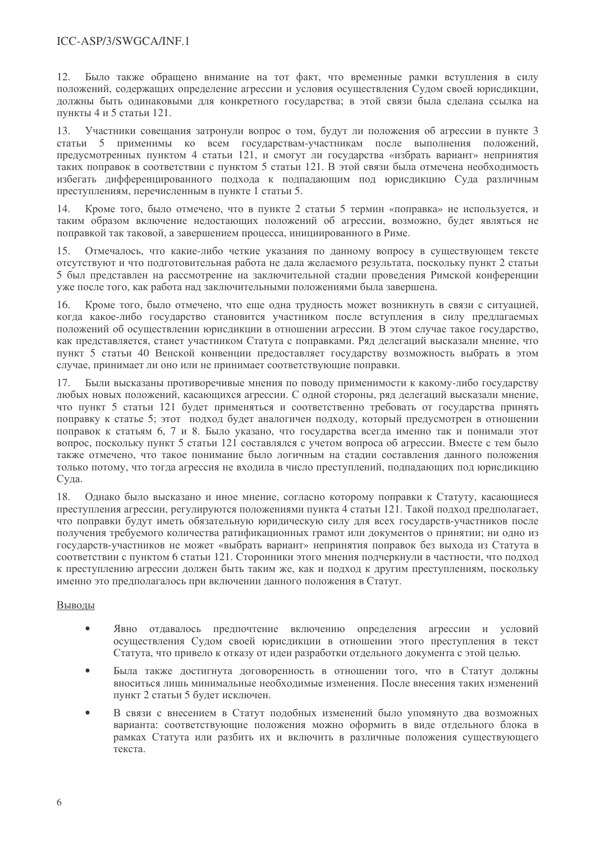12 Было также обращено внимание на тот факт, что временные рамки вступления в силу положений, содержащих определение агрессии и условия осуществления Судом своей юрисдикции, должны быть одинаковыми для конкретного государства; в этой связи была сделана ссылка на пункты 4 и 5 статьи 121.

Участники совешания затронули вопрос о том, будут ли положения об агрессии в пункте 3  $13<sup>7</sup>$ статьи 5 применимы ко всем государствам-участникам после выполнения положений, предусмотренных пунктом 4 статьи 121, и смогут ли государства «избрать вариант» непринятия таких поправок в соответствии с пунктом 5 статьи 121. В этой связи была отмечена необходимость избегать дифференцированного подхода к подпадающим под юрисдикцию Суда различным преступлениям, перечисленным в пункте 1 статьи 5.

 $14$ Кроме того, было отмечено, что в пункте 2 статьи 5 термин «поправка» не используется, и таким образом включение недостающих положений об агрессии, возможно, будет являться не поправкой так таковой, а завершением процесса, инициированного в Риме.

 $15$ Отмечалось, что какие-либо четкие указания по данному вопросу в существующем тексте отсутствуют и что полготовительная работа не дала желаемого результата, поскольку пункт 2 статьи 5 был представлен на рассмотрение на заключительной сталии проведения Римской конференции уже после того, как работа над заключительными положениями была завершена.

16. Кроме того, было отмечено, что еще одна трудность может возникнуть в связи с ситуацией, когда какое-либо государство становится участником после вступления в силу предлагаемых положений об осуществлении юрисдикции в отношении агрессии. В этом случае такое государство, как представляется, станет участником Статута с поправками. Ряд делегаций высказали мнение, что пункт 5 статьи 40 Венской конвенции предоставляет государству возможность выбрать в этом случае, принимает ли оно или не принимает соответствующие поправки.

Были высказаны противоречивые мнения по поводу применимости к какому-либо государству 17. любых новых положений, касающихся агрессии. С одной стороны, ряд делегаций высказали мнение, что пункт 5 статьи 121 будет применяться и соответственно требовать от государства принять поправку к статье 5; этот подход будет аналогичен подходу, который предусмотрен в отношении поправок к статьям 6, 7 и 8. Было указано, что государства всегда именно так и понимали этот вопрос, поскольку пункт 5 статьи 121 составлялся с учетом вопроса об агрессии. Вместе с тем было также отмечено, что такое понимание было логичным на стадии составления данного положения только потому, что тогда агрессия не входила в число преступлений, подпадающих под юрисдикцию Суда.

Однако было высказано и иное мнение, согласно которому поправки к Статуту, касающиеся 18. преступления агрессии, регулируются положениями пункта 4 статьи 121. Такой подход предполагает, что поправки будут иметь обязательную юридическую силу для всех государств-участников после получения требуемого количества ратификационных грамот или документов о принятии; ни одно из государств-участников не может «выбрать вариант» непринятия поправок без выхода из Статута в соответствии с пунктом 6 статьи 121. Сторонники этого мнения подчеркнули в частности, что подход к преступлению агрессии должен быть таким же, как и подход к другим преступлениям, поскольку именно это предполагалось при включении данного положения в Статут.

### Выводы

- $\bullet$ Явно отдавалось предпочтение включению определения агрессии и условий осуществления Судом своей юрисдикции в отношении этого преступления в текст Статута, что привело к отказу от идеи разработки отдельного документа с этой целью.
- Была также достигнута договоренность в отношении того, что в Статут должны вноситься лишь минимальные необходимые изменения. После внесения таких изменений пункт 2 статьи 5 будет исключен.
- В связи с внесением в Статут подобных изменений было упомянуто два возможных варианта: соответствующие положения можно оформить в виде отдельного блока в рамках Статута или разбить их и включить в различные положения существующего текста.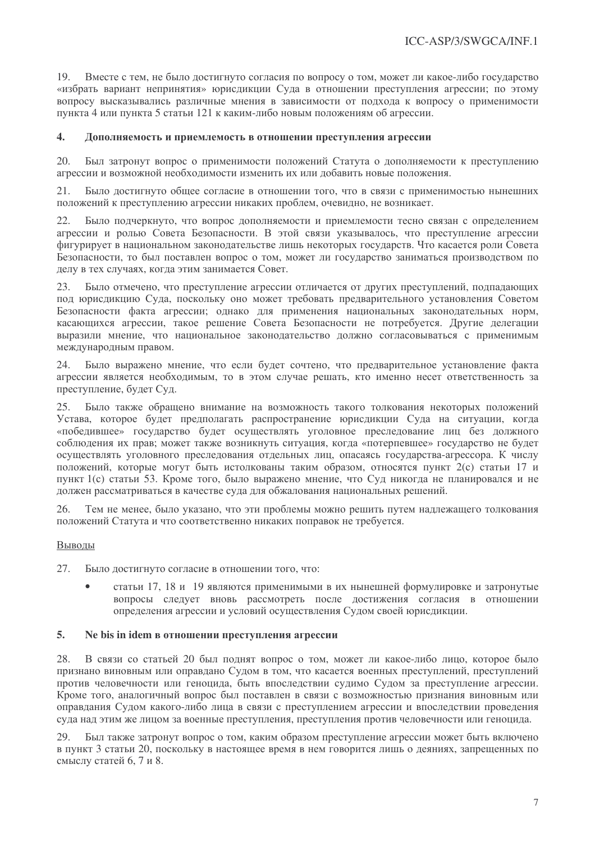Вместе с тем, не было достигнуто согласия по вопросу о том, может ли какое-либо государство  $1<sub>Q</sub>$ «избрать вариант непринятия» юрисдикции Суда в отношении преступления агрессии; по этому вопросу высказывались различные мнения в зависимости от подхода к вопросу о применимости пункта 4 или пункта 5 статьи 121 к каким-либо новым положениям об агрессии.

#### $\overline{4}$ . Дополняемость и приемлемость в отношении преступления агрессии

 $20<sup>°</sup>$ Был затронут вопрос о применимости положений Статута о дополняемости к преступлению агрессии и возможной необходимости изменить их или добавить новые положения.

Было достигнуто общее согласие в отношении того, что в связи с применимостью нынешних  $21.$ положений к преступлению агрессии никаких проблем, очевидно, не возникает.

 $22.$ Было подчеркнуто, что вопрос дополняемости и приемлемости тесно связан с определением агрессии и ролью Совета Безопасности. В этой связи указывалось, что преступление агрессии фигурирует в национальном законодательстве лишь некоторых государств. Что касается роли Совета Безопасности, то был поставлен вопрос о том, может ли государство заниматься производством по лелу в тех случаях, когда этим занимается Совет.

23. Было отмечено, что преступление агрессии отличается от других преступлений, подпадающих под юрисдикцию Суда, поскольку оно может требовать предварительного установления Советом Безопасности факта агрессии; однако для применения национальных законодательных норм, касающихся агрессии, такое решение Совета Безопасности не потребуется. Другие делегации выразили мнение, что национальное законолательство должно согласовываться с применимым международным правом.

24. Было выражено мнение, что если будет сочтено, что предварительное установление факта агрессии является необходимым, то в этом случае решать, кто именно несет ответственность за преступление, будет Суд.

Было также обращено внимание на возможность такого толкования некоторых положений 25. Устава, которое будет предполагать распространение юрисдикции Суда на ситуации, когда «победившее» государство будет осуществлять уголовное преследование лиц без должного соблюдения их прав; может также возникнуть ситуация, когда «потерпевшее» государство не будет осуществлять уголовного преследования отдельных лиц, опасаясь государства-агрессора. К числу положений, которые могут быть истолкованы таким образом, относятся пункт 2(с) статьи 17 и пункт 1(с) статьи 53. Кроме того, было выражено мнение, что Суд никогда не планировался и не должен рассматриваться в качестве суда для обжалования национальных решений.

Тем не менее, было указано, что эти проблемы можно решить путем надлежащего толкования 26. положений Статута и что соответственно никаких поправок не требуется.

#### Выводы

27. Было достигнуто согласие в отношении того, что:

> статьи 17, 18 и 19 являются применимыми в их нынешней формулировке и затронутые вопросы следует вновь рассмотреть после достижения согласия в отношении определения агрессии и условий осуществления Судом своей юрисдикции.

#### $5.$ Ne bis in idem в отношении преступления агрессии

28. В связи со статьей 20 был поднят вопрос о том, может ли какое-либо лицо, которое было признано виновным или оправдано Судом в том, что касается военных преступлений, преступлений против человечности или геноцида, быть впоследствии судимо Судом за преступление агрессии. Кроме того, аналогичный вопрос был поставлен в связи с возможностью признания виновным или оправдания Судом какого-либо лица в связи с преступлением агрессии и впоследствии проведения суда над этим же лицом за военные преступления, преступления против человечности или геноцида.

29. Был также затронут вопрос о том, каким образом преступление агрессии может быть включено в пункт 3 статьи 20, поскольку в настоящее время в нем говорится лишь о деяниях, запрещенных по смыслу статей 6, 7 и 8.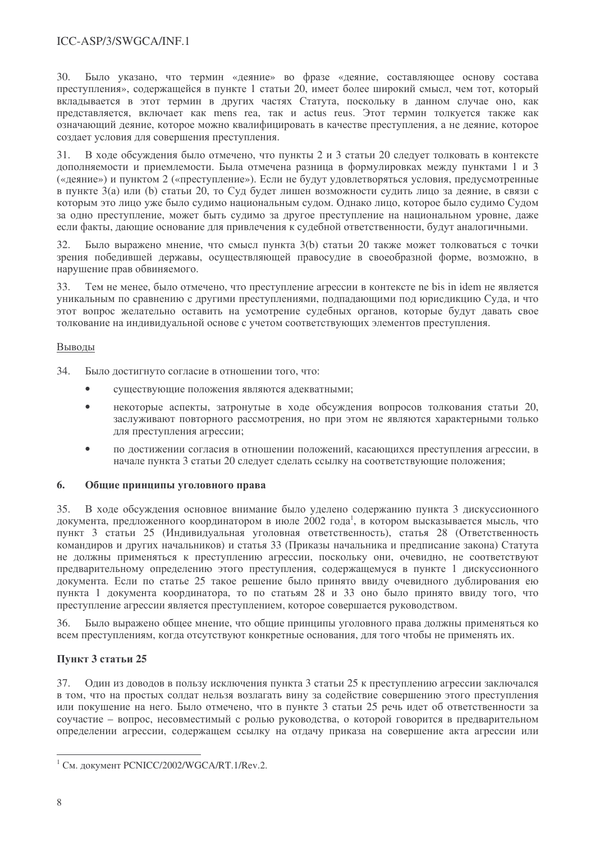### ICC-ASP/3/SWGCA/INF.1

 $30<sup>°</sup>$ Было указано, что термин «деяние» во фразе «деяние, составляющее основу состава преступления», содержащейся в пункте 1 статьи 20, имеет более широкий смысл, чем тот, который вкладывается в этот термин в других частях Статута, поскольку в данном случае оно, как представляется, включает как mens rea, так и actus reus. Этот термин толкуется также как означающий деяние, которое можно квалифицировать в качестве преступления, а не деяние, которое создает условия для совершения преступления.

В ходе обсуждения было отмечено, что пункты 2 и 3 статьи 20 следует толковать в контексте дополняемости и приемлемости. Была отмечена разница в формулировках между пунктами 1 и 3 («деяние») и пунктом 2 («преступление»). Если не будут удовлетворяться условия, предусмотренные в пункте 3(а) или (b) статьи 20, то Суд будет лишен возможности судить лицо за деяние, в связи с которым это лицо уже было судимо национальным судом. Однако лицо, которое было судимо Судом за одно преступление, может быть судимо за другое преступление на национальном уровне, даже если факты, дающие основание для привлечения к судебной ответственности, будут аналогичными,

Было выражено мнение, что смысл пункта 3(b) статьи 20 также может толковаться с точки зрения победившей державы, осуществляющей правосудие в своеобразной форме, возможно, в нарушение прав обвиняемого.

33. Тем не менее, было отмечено, что преступление агрессии в контексте ne bis in idem не является уникальным по сравнению с другими преступлениями, подпадающими под юрисдикцию Суда, и что этот вопрос желательно оставить на усмотрение судебных органов, которые будут давать свое толкование на индивидуальной основе с учетом соответствующих элементов преступления.

#### Выволы

34. Было достигнуто согласие в отношении того, что:

- $\bullet$ существующие положения являются адекватными;
- некоторые аспекты, затронутые в ходе обсуждения вопросов толкования статьи 20, заслуживают повторного рассмотрения, но при этом не являются характерными только для преступления агрессии;
- по достижении согласия в отношении положений, касающихся преступления агрессии, в начале пункта 3 статьи 20 следует сделать ссылку на соответствующие положения;

#### 6. Общие принципы уголовного права

В ходе обсуждения основное внимание было уделено содержанию пункта 3 дискуссионного 35. документа, предложенного координатором в июле 2002 года<sup>1</sup>, в котором высказывается мысль, что пункт 3 статьи 25 (Индивидуальная уголовная ответственность), статья 28 (Ответственность командиров и других начальников) и статья 33 (Приказы начальника и предписание закона) Статута не должны применяться к преступлению агрессии, поскольку они, очевидно, не соответствуют предварительному определению этого преступления, содержащемуся в пункте 1 дискуссионного документа. Если по статье 25 такое решение было принято ввиду очевидного дублирования ею пункта 1 документа координатора, то по статьям 28 и 33 оно было принято ввиду того, что преступление агрессии является преступлением, которое совершается руководством.

Было выражено общее мнение, что общие принципы уголовного права должны применяться ко 36. всем преступлениям, когда отсутствуют конкретные основания, для того чтобы не применять их.

### Пункт 3 статьи 25

Один из доводов в пользу исключения пункта 3 статьи 25 к преступлению агрессии заключался 37. в том, что на простых солдат нельзя возлагать вину за содействие совершению этого преступления или покушение на него. Было отмечено, что в пункте 3 статьи 25 речь идет об ответственности за соучастие - вопрос, несовместимый с ролью руководства, о которой говорится в предварительном определении агрессии, содержащем ссылку на отдачу приказа на совершение акта агрессии или

<sup>&</sup>lt;sup>1</sup> См. документ PCNICC/2002/WGCA/RT.1/Rev.2.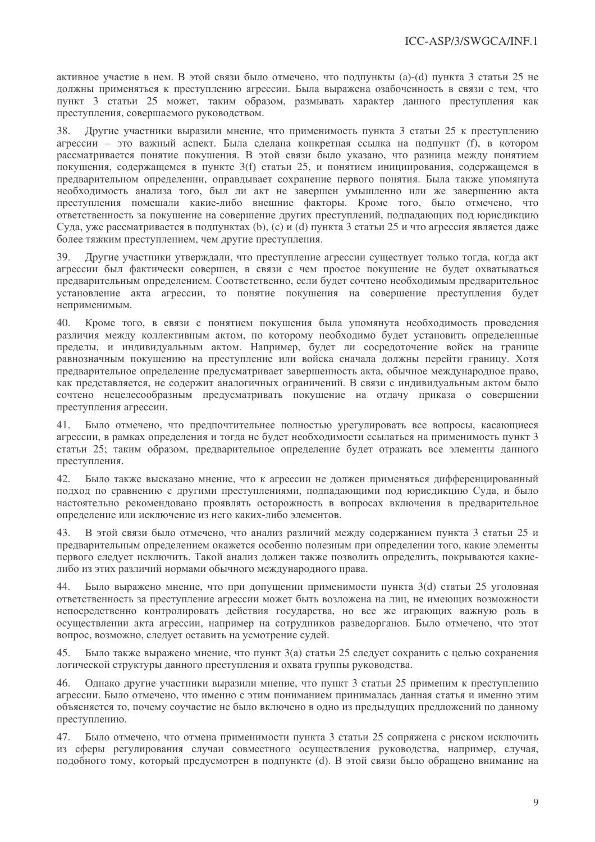активное участие в нем. В этой связи было отмечено, что полпункты (a)-(d) пункта 3 статьи 25 не должны применяться к преступлению агрессии. Была выражена озабоченность в связи с тем, что пункт 3 статьи 25 может, таким образом, размывать характер данного преступления как преступления, совершаемого руководством.

38 Лругие участники выразили мнение, что применимость пункта 3 статьи 25 к преступлению агрессии - это важный аспект. Была сделана конкретная ссылка на подпункт (f), в котором рассматривается понятие покушения. В этой связи было указано, что разница между понятием покушения, содержащемся в пункте 3(f) статьи 25, и понятием инициирования, содержащемся в предварительном определении, оправдывает сохранение первого понятия. Была также упомянута необходимость анализа того, был ли акт не завершен умышленно или же завершению акта преступления помешали какие-либо внешние факторы. Кроме того, было отмечено, что ответственность за покушение на совершение других преступлений, подпадающих под юрисликцию Сула, уже рассматривается в полпунктах (b), (c) и (d) пункта 3 статьи 25 и что агрессия является лаже более тяжким преступлением, чем другие преступления.

Другие участники утверждали, что преступление агрессии существует только тогда, когда акт  $30<sup>°</sup>$ агрессии был фактически совершен, в связи с чем простое покушение не булет охватываться предварительным определением. Соответственно, если будет сочтено необходимым предварительное установление акта агрессии, то понятие покушения на совершение преступления будет неприменимым.

 $40.$ Кроме того, в связи с понятием покушения была упомянута необходимость проведения различия между коллективным актом, по которому необходимо будет установить определенные пределы, и индивидуальным актом. Например, будет ли сосредоточение войск на границе равнозначным покушению на преступление или войска сначала должны перейти границу. Хотя предварительное определение предусматривает завершенность акта, обычное международное право, как представляется, не содержит аналогичных ограничений. В связи с индивидуальным актом было сочтено нецелесообразным предусматривать покушение на отдачу приказа о совершении преступления агрессии.

Было отмечено, что предпочтительнее полностью урегулировать все вопросы, касающиеся 41 агрессии, в рамках определения и тогда не будет необходимости ссылаться на применимость пункт 3 статьи 25; таким образом, предварительное определение будет отражать все элементы данного преступления.

42. Было также высказано мнение, что к агрессии не должен применяться дифференцированный подход по сравнению с другими преступлениями, подпадающими под юрисдикцию Суда, и было настоятельно рекомендовано проявлять осторожность в вопросах включения в предварительное определение или исключение из него каких-либо элементов.

43. В этой связи было отмечено, что анализ различий между содержанием пункта 3 статьи 25 и предварительным определением окажется особенно полезным при определении того, какие элементы первого следует исключить. Такой анализ должен также позволить определить, покрываются какиелибо из этих различий нормами обычного международного права.

Было выражено мнение, что при допущении применимости пункта 3(d) статьи 25 уголовная  $44.$ ответственность за преступление агрессии может быть возложена на лиц, не имеющих возможности непосредственно контролировать действия государства, но все же играющих важную роль в осуществлении акта агрессии, например на сотрудников разведорганов. Было отмечено, что этот вопрос, возможно, следует оставить на усмотрение судей.

Было также выражено мнение, что пункт 3(а) статьи 25 следует сохранить с целью сохранения 45. логической структуры данного преступления и охвата группы руководства.

Однако другие участники выразили мнение, что пункт 3 статьи 25 применим к преступлению 46. агрессии. Было отмечено, что именно с этим пониманием принималась данная статья и именно этим объясняется то, почему соучастие не было включено в одно из предыдущих предложений по данному преступлению.

47. Было отмечено, что отмена применимости пункта 3 статьи 25 сопряжена с риском исключить из сферы регулирования случаи совместного осуществления руководства, например, случая, подобного тому, который предусмотрен в подпункте (d). В этой связи было обращено внимание на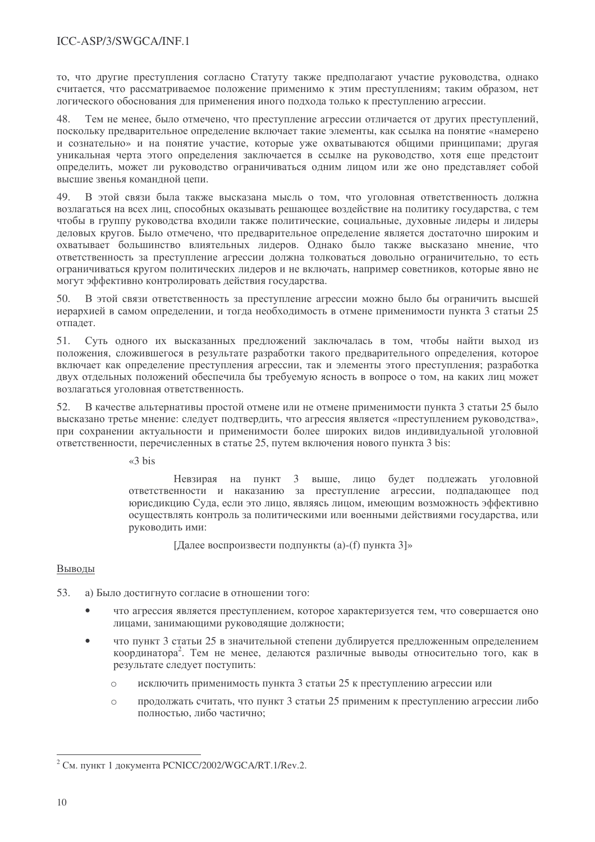то, что другие преступления согласно Статуту также предполагают участие руководства, однако считается, что рассматриваемое положение применимо к этим преступлениям: таким образом, нет логического обоснования для применения иного подхода только к преступлению агрессии.

48 Тем не менее, было отмечено, что преступление агрессии отличается от других преступлений, поскольку предварительное определение включает такие элементы, как ссылка на понятие «намерено и сознательно» и на понятие участие, которые уже охватываются общими принципами; другая уникальная черта этого определения заключается в ссылке на руководство, хотя еще предстоит определить, может ли руководство ограничиваться одним лицом или же оно представляет собой высшие звенья командной цепи.

49 В этой связи была также высказана мысль о том, что уголовная ответственность должна возлагаться на всех лиц, способных оказывать решающее воздействие на политику государства, с тем чтобы в группу руководства входили также политические, социальные, духовные лидеры и лидеры леловых кругов. Было отмечено, что предварительное определение является достаточно широким и охватывает большинство влиятельных лидеров. Однако было также высказано мнение, что ответственность за преступление агрессии должна толковаться довольно ограничительно, то есть ограничиваться кругом политических лидеров и не включать, например советников, которые явно не могут эффективно контролировать лействия государства.

В этой связи ответственность за преступление агрессии можно было бы ограничить высшей  $50<sub>1</sub>$ иерархией в самом определении, и тогда необходимость в отмене применимости пункта 3 статьи 25 отпадет.

 $51.$ Суть одного их высказанных предложений заключалась в том, чтобы найти выход из положения, сложившегося в результате разработки такого предварительного определения, которое включает как определение преступления агрессии, так и элементы этого преступления; разработка двух отдельных положений обеспечила бы требуемую ясность в вопросе о том, на каких лиц может возлагаться уголовная ответственность.

В качестве альтернативы простой отмене или не отмене применимости пункта 3 статьи 25 было 52. высказано третье мнение: следует подтвердить, что агрессия является «преступлением руководства», при сохранении актуальности и применимости более широких видов индивидуальной уголовной ответственности, перечисленных в статье 25, путем включения нового пункта 3 bis:

 $\triangleleft$ 3 bis

Невзирая на пункт 3 выше, лицо будет подлежать уголовной ответственности и наказанию за преступление агрессии, подпадающее под юрисдикцию Суда, если это лицо, являясь лицом, имеющим возможность эффективно осуществлять контроль за политическими или военными действиями государства, или руководить ими:

[Далее воспроизвести подпункты (а)-(f) пункта 3]»

### Выводы

- 53. а) Было достигнуто согласие в отношении того:
	- что агрессия является преступлением, которое характеризуется тем, что совершается оно лицами, занимающими руководящие должности;
	- что пункт 3 статьи 25 в значительной степени дублируется предложенным определением координатора<sup>2</sup>. Тем не менее, делаются различные выводы относительно того, как в результате следует поступить:
		- исключить применимость пункта 3 статьи 25 к преступлению агрессии или  $\circ$
		- продолжать считать, что пункт 3 статьи 25 применим к преступлению агрессии либо  $\bigcap$ полностью, либо частично:

<sup>&</sup>lt;sup>2</sup> См. пункт 1 документа PCNICC/2002/WGCA/RT.1/Rev.2.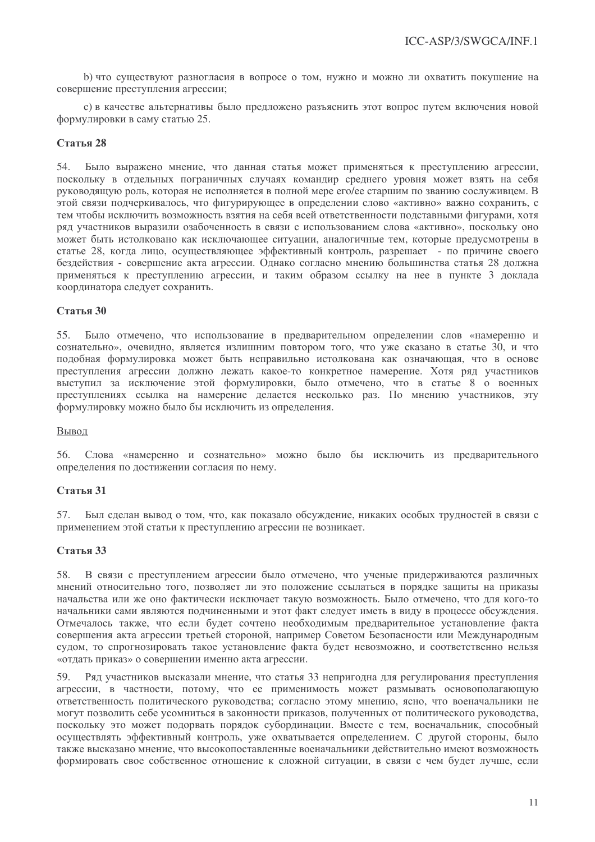b) что существуют разногласия в вопросе о том, нужно и можно ли охватить покушение на совершение преступления агрессии:

с) в качестве альтернативы было предложено разъяснить этот вопрос путем включения новой формулировки в саму статью 25.

#### Статья 28

Было выражено мнение, что данная статья может применяться к преступлению агрессии, 54. поскольку в отдельных пограничных случаях командир среднего уровня может взять на себя руководящую роль, которая не исполняется в полной мере его/ее старшим по званию сослуживцем. В этой связи подчеркивалось, что фигурирующее в определении слово «активно» важно сохранить, с тем чтобы исключить возможность взятия на себя всей ответственности полставными фигурами, хотя ряд участников выразили озабоченность в связи с использованием слова «активно», поскольку оно может быть истолковано как исключающее ситуации, аналогичные тем, которые предусмотрены в статье 28, когда лицо, осуществляющее эффективный контроль, разрешает - по причине своего безлействия - совершение акта агрессии. Олнако согласно мнению большинства статья 28 лолжна применяться к преступлению агрессии, и таким образом ссылку на нее в пункте 3 локлада координатора следует сохранить.

#### Статья 30

Было отмечено, что использование в предварительном определении слов «намеренно и  $55.$ сознательно», очевилно, является излишним повтором того, что уже сказано в статье 30, и что подобная формулировка может быть неправильно истолкована как означающая, что в основе преступления агрессии должно лежать какое-то конкретное намерение. Хотя ряд участников выступил за исключение этой формулировки, было отмечено, что в статье 8 о военных преступлениях ссылка на намерение делается несколько раз. По мнению участников, эту формулировку можно было бы исключить из определения.

#### Вывод

56. Слова «намеренно и сознательно» можно было бы исключить из предварительного определения по достижении согласия по нему.

#### Статья 31

57. Был сделан вывод о том, что, как показало обсуждение, никаких особых трудностей в связи с применением этой статьи к преступлению агрессии не возникает.

#### Статья 33

58. В связи с преступлением агрессии было отмечено, что ученые придерживаются различных мнений относительно того, позволяет ли это положение ссылаться в порядке защиты на приказы начальства или же оно фактически исключает такую возможность. Было отмечено, что для кого-то начальники сами являются подчиненными и этот факт следует иметь в виду в процессе обсуждения. Отмечалось также, что если будет сочтено необходимым предварительное установление факта совершения акта агрессии третьей стороной, например Советом Безопасности или Международным судом, то спрогнозировать такое установление факта будет невозможно, и соответственно нельзя «отдать приказ» о совершении именно акта агрессии.

Ряд участников высказали мнение, что статья 33 непригодна для регулирования преступления 59. агрессии, в частности, потому, что ее применимость может размывать основополагающую ответственность политического руководства; согласно этому мнению, ясно, что военачальники не могут позволить себе усомниться в законности приказов, полученных от политического руководства, поскольку это может подорвать порядок субординации. Вместе с тем, военачальник, способный осуществлять эффективный контроль, уже охватывается определением. С другой стороны, было также высказано мнение, что высокопоставленные военачальники действительно имеют возможность формировать свое собственное отношение к сложной ситуации, в связи с чем будет лучше, если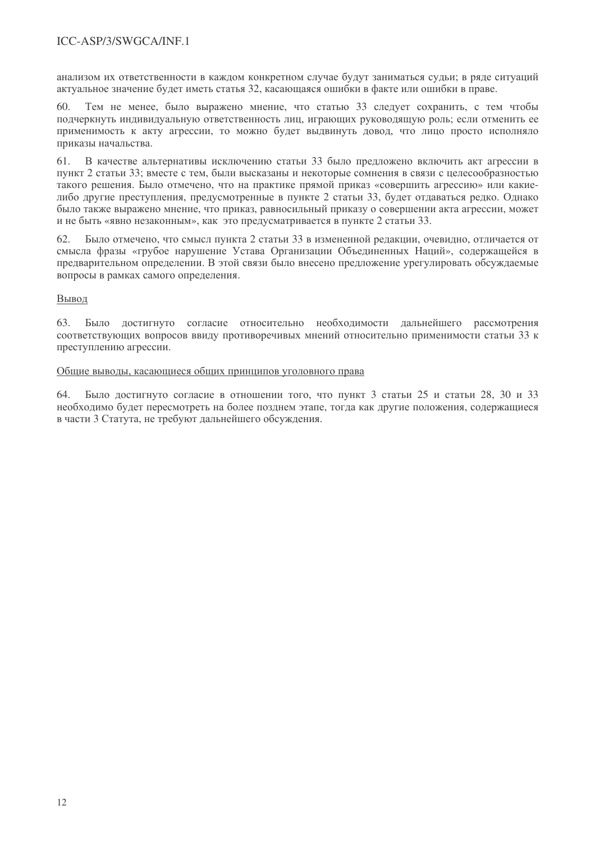### ICC-ASP/3/SWGCA/INE.1

анализом их ответственности в кажлом конкретном случае будут заниматься сульи: в ряде ситуаций актуальное значение будет иметь статья 32, касающаяся ошибки в факте или ошибки в праве.

Тем не менее, было выражено мнение, что статью 33 следует сохранить, с тем чтобы 60 подчеркнуть индивидуальную ответственность лиц, играющих руководящую роль; если отменить ее применимость к акту агрессии, то можно будет выдвинуть довод, что лицо просто исполняло приказы начальства.

В качестве альтернативы исключению статьи 33 было предложено включить акт агрессии в 61 пункт 2 статьи 33: вместе с тем. были высказаны и некоторые сомнения в связи с целесообразностью такого решения. Было отмечено, что на практике прямой приказ «совершить агрессию» или какиелибо другие преступления, предусмотренные в пункте 2 статьи 33, будет отдаваться редко. Однако было также выражено мнение, что приказ, равносильный приказу о совершении акта агрессии, может и не быть «явно незаконным», как это предусматривается в пункте 2 статьи 33.

Было отмечено, что смысл пункта 2 статьи 33 в измененной релакции, очевилно, отличается от смысла фразы «грубое нарушение Устава Организации Объединенных Наций», содержащейся в предварительном определении. В этой связи было внесено предложение урегулировать обсуждаемые вопросы в рамках самого определения.

#### Вывод

63. Было достигнуто согласие относительно необходимости дальнейшего рассмотрения соответствующих вопросов ввиду противоречивых мнений относительно применимости статьи 33 к преступлению агрессии.

#### Общие выводы, касающиеся общих принципов уголовного права

Было достигнуто согласие в отношении того, что пункт 3 статьи 25 и статьи 28, 30 и 33 64. необходимо будет пересмотреть на более позднем этапе, тогда как другие положения, содержащиеся в части 3 Статута, не требуют дальнейшего обсуждения.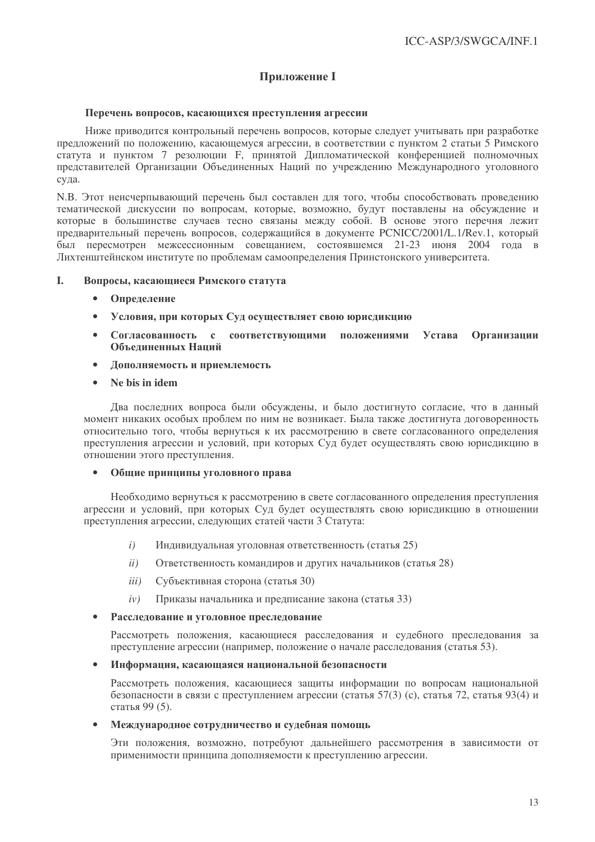### **Приложение I**

#### Перечень вопросов, касающихся преступления агрессии

Ниже приводится контрольный перечень вопросов, которые следует учитывать при разработке предложений по положению, касающемуся агрессии, в соответствии с пунктом 2 статьи 5 Римского статута и пунктом 7 резолюции F, принятой Липломатической конференцией полномочных представителей Организации Объединенных Наций по учреждению Международного уголовного суда.

N.B. Этот неисчерпывающий перечень был составлен для того, чтобы способствовать проведению тематической дискуссии по вопросам, которые, возможно, будут поставлены на обсуждение и которые в большинстве случаев тесно связаны между собой. В основе этого перечня лежит предварительный перечень вопросов, содержащийся в документе PCNICC/2001/L.1/Rev.1, который был пересмотрен межсессионным совещанием, состоявшемся 21-23 июня 2004 года в Лихтенштейнском институте по проблемам самоопределения Принстонского университета.

#### L. Вопросы, касающиеся Римского статута

- $\bullet$ Определение
- Условия, при которых Суд осуществляет свою юрисликцию  $\bullet$
- Согласованность с соответствующими положениями Устава **Организации** Объелиненных Напий
- Дополняемость и приемлемость  $\bullet$
- Ne bis in idem

Два последних вопроса были обсуждены, и было достигнуто согласие, что в данный момент никаких особых проблем по ним не возникает. Была также достигнута договоренность относительно того, чтобы вернуться к их рассмотрению в свете согласованного определения преступления агрессии и условий, при которых Суд будет осуществлять свою юрисдикцию в отношении этого преступления.

Общие принципы уголовного права

Необходимо вернуться к рассмотрению в свете согласованного определения преступления агрессии и условий, при которых Суд будет осуществлять свою юрисдикцию в отношении преступления агрессии, следующих статей части 3 Статута:

- Индивидуальная уголовная ответственность (статья 25)  $i)$
- $ii)$ Ответственность командиров и других начальников (статья 28)
- Субъективная сторона (статья 30)  $iii)$
- $iv)$ Приказы начальника и предписание закона (статья 33)
- Расследование и уголовное преследование  $\bullet$

Рассмотреть положения, касающиеся расследования и судебного преследования за преступление агрессии (например, положение о начале расследования (статья 53).

#### Информация, касающаяся национальной безопасности  $\bullet$

Рассмотреть положения, касающиеся защиты информации по вопросам национальной безопасности в связи с преступлением агрессии (статья 57(3) (с), статья 72, статья 93(4) и статья 99 (5).

#### Международное сотрудничество и судебная помощь

Эти положения, возможно, потребуют дальнейшего рассмотрения в зависимости от применимости принципа дополняемости к преступлению агрессии.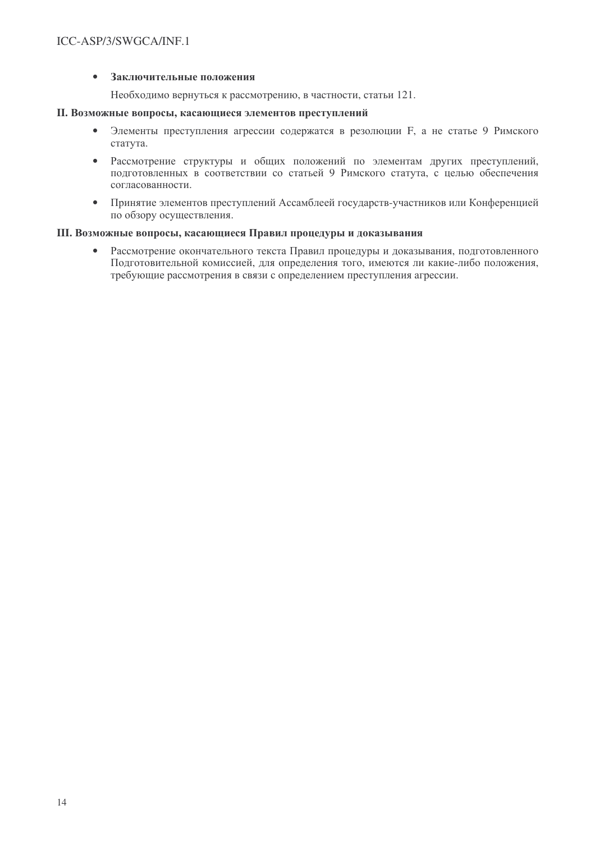#### Заключительные положения  $\bullet$

Необходимо вернуться к рассмотрению, в частности, статьи 121.

#### II. Возможные вопросы, касающиеся элементов преступлений

- $\bullet$ Элементы преступления агрессии содержатся в резолюции F, а не статье 9 Римского статута.
- $\bullet$ Рассмотрение структуры и общих положений по элементам других преступлений, подготовленных в соответствии со статьей 9 Римского статута, с целью обеспечения согласованности.
- Принятие элементов преступлений Ассамблеей государств-участников или Конференцией по обзору осуществления.

#### Ш. Возможные вопросы, касающиеся Правил процедуры и доказывания

Рассмотрение окончательного текста Правил процедуры и доказывания, подготовленного  $\bullet$ Подготовительной комиссией, для определения того, имеются ли какие-либо положения, требующие рассмотрения в связи с определением преступления агрессии.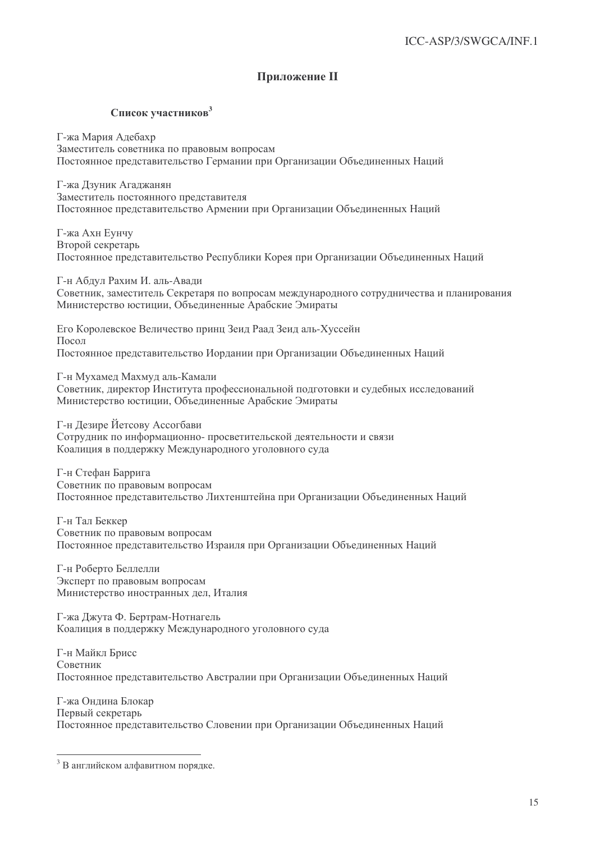### **Приложение II**

#### Список участников<sup>3</sup>

Г-жа Мария Адебахр Заместитель советника по правовым вопросам Постоянное представительство Германии при Организации Объединенных Наций

Г-жа Лзуник Агалжанян Заместитель постоянного представителя Постоянное представительство Армении при Организации Объединенных Наций

Г-жа Ахн Еунчу Второй секретарь Постоянное представительство Республики Корея при Организации Объединенных Наций

Г-н Аблул Рахим И. аль-Авали Советник, заместитель Секретаря по вопросам международного сотрудничества и планирования Министерство юстиции. Объединенные Арабские Эмираты

Его Королевское Величество принц Зеил Раал Зеил аль-Хуссейн Посол Постоянное представительство Иордании при Организации Объединенных Наций

Г-н Мухамед Махмуд аль-Камали Советник, директор Института профессиональной подготовки и судебных исследований Министерство юстиции, Объединенные Арабские Эмираты

Г-н Дезире Йетсову Ассогбави Сотрудник по информационно-просветительской деятельности и связи Коалиция в поддержку Международного уголовного суда

Г-н Стефан Баррига Советник по правовым вопросам Постоянное представительство Лихтенштейна при Организации Объединенных Наций

Г-н Тал Беккер Советник по правовым вопросам Постоянное представительство Израиля при Организации Объединенных Наций

Г-н Роберто Беллелли Эксперт по правовым вопросам Министерство иностранных дел, Италия

Г-жа Джута Ф. Бертрам-Нотнагель Коалиция в поддержку Международного уголовного суда

Г-н Майкл Брисс Советник Постоянное представительство Австралии при Организации Объединенных Наций

Г-жа Ондина Блокар Первый секретарь Постоянное представительство Словении при Организации Объединенных Наций

 $3$  В английском алфавитном порядке.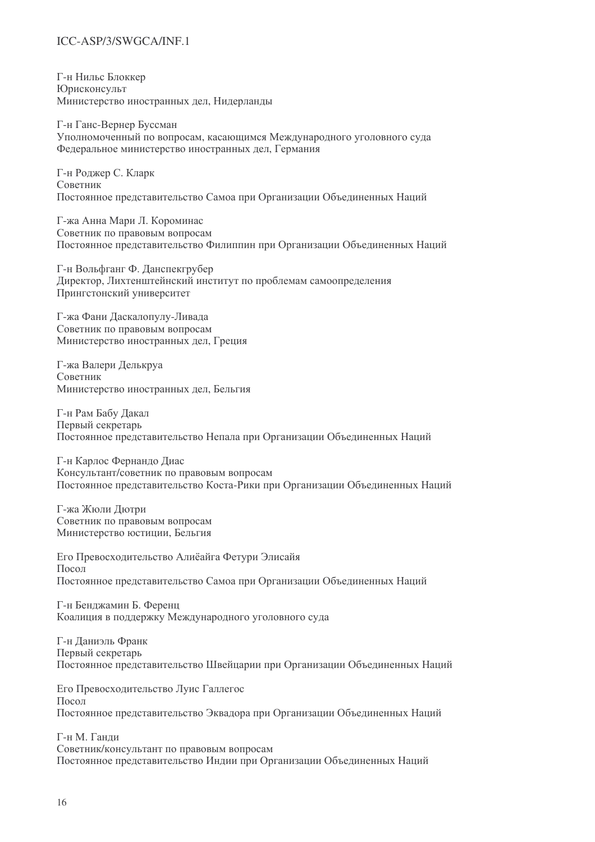### ICC-ASP/3/SWGCA/INE.1

Г-н Нильс Блоккер **Юрисконсульт** Министерство иностранных дел. Нидерланды

Г-н Ганс-Вернер Буссман Уполномоченный по вопросам, касающимся Международного уголовного суда Федеральное министерство иностранных дел. Германия

Г-н Ролжер С. Кларк Советник Постоянное представительство Самоа при Организации Объединенных Наций

Г-жа Анна Мари Л. Короминас Советник по правовым вопросам Постоянное представительство Филиппин при Организации Объединенных Наций

Г-н Вольфганг Ф. Ланспекгрубер Лиректор. Лихтенштейнский институт по проблемам самоопределения Прингстонский университет

Г-жа Фани Ласкалопулу-Ливала Советник по правовым вопросам Министерство иностранных дел. Греция

Г-жа Валери Делькруа Советник Министерство иностранных дел, Бельгия

Г-н Рам Бабу Дакал Первый секретарь Постоянное представительство Непала при Организации Объединенных Наций

Г-н Карлос Фернандо Диас Консультант/советник по правовым вопросам Постоянное представительство Коста-Рики при Организации Объединенных Наций

Г-жа Жюли Дютри Советник по правовым вопросам Министерство юстиции, Бельгия

Его Превосходительство Алиёайга Фетури Элисайя Посол Постоянное представительство Самоа при Организации Объединенных Наций

Г-н Бенджамин Б. Ференц Коалиция в поддержку Международного уголовного суда

Г-н Даниэль Франк Первый секретарь Постоянное представительство Швейцарии при Организации Объединенных Наций

Его Превосходительство Луис Галлегос Посол Постоянное представительство Эквадора при Организации Объединенных Наций

Г-н М. Ганди Советник/консультант по правовым вопросам Постоянное представительство Индии при Организации Объединенных Наций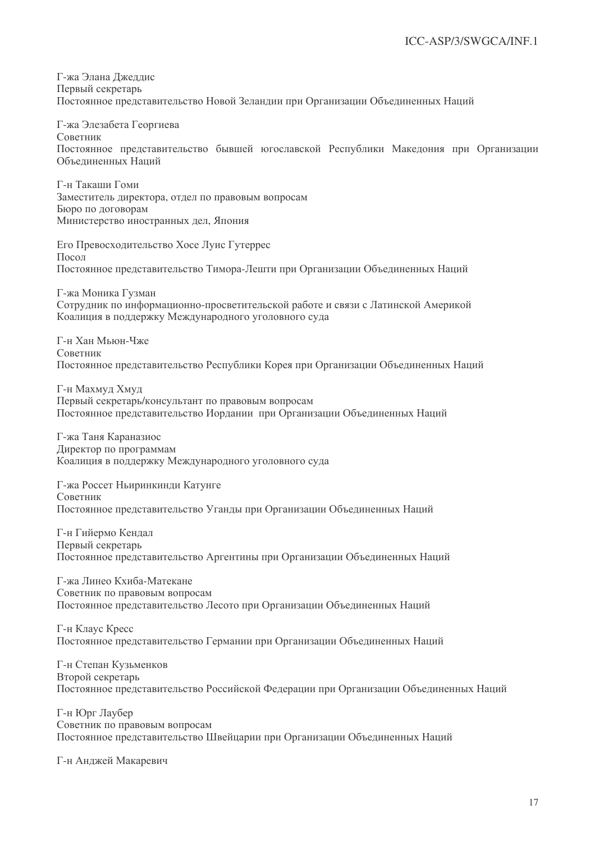Г-жа Элана Лжеллис Первый секретарь Постоянное представительство Новой Зеландии при Организации Объединенных Наций

Г-жа Элезабета Георгиева Советник Постоянное представительство бывшей югославской Республики Македония при Организации Объелиненных Наций

Г-н Такаши Гоми Заместитель директора, отдел по правовым вопросам Бюро по договорам Министерство иностранных дел, Япония

Его Превосходительство Хосе Луис Гутеррес  $\prod$ OCOJI Постоянное представительство Тимора-Лешти при Организации Объединенных Наций

Г-жа Моника Гузман Сотрудник по информационно-просветительской работе и связи с Латинской Америкой Коалиция в поддержку Международного уголовного суда

Г-н Хан Мьюн-Чже Советник Постоянное представительство Республики Корея при Организации Объединенных Наций

Г-н Махмуд Хмуд Первый секретарь/консультант по правовым вопросам Постоянное представительство Иордании при Организации Объединенных Наций

Г-жа Таня Караназиос Директор по программам Коалиция в поддержку Международного уголовного суда

Г-жа Россет Ньиринкинди Катунге Советник Постоянное представительство Уганды при Организации Объединенных Наций

Г-н Гийермо Кенлал Первый секретарь Постоянное представительство Аргентины при Организации Объединенных Наций

Г-жа Линео Кхиба-Матекане Советник по правовым вопросам Постоянное представительство Лесото при Организации Объединенных Наций

Г-н Клаус Кресс Постоянное представительство Германии при Организации Объединенных Наций

Г-н Степан Кузьменков Второй секретарь Постоянное представительство Российской Федерации при Организации Объединенных Наций

Г-н Юрг Лаубер Советник по правовым вопросам Постоянное представительство Швейцарии при Организации Объединенных Наций

Г-н Анджей Макаревич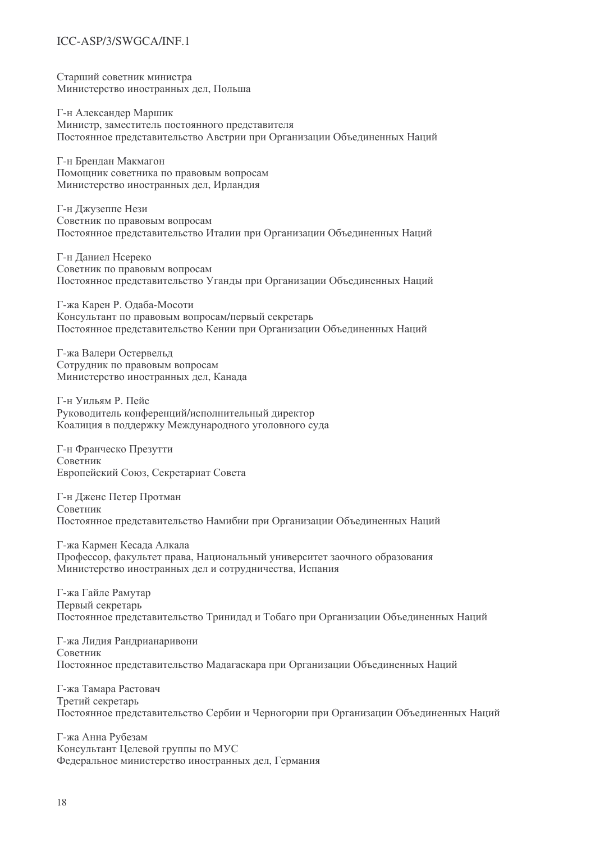### ICC-ASP/3/SWGCA/INE.1

Старший советник министра Министерство иностранных дел, Польша

Г-н Александер Маршик Министр, заместитель постоянного представителя Постоянное представительство Австрии при Организации Объединенных Наций

Г-н Бренлан Макмагон Помошник советника по правовым вопросам Министерство иностранных дел. Ирландия

Г-н Джузеппе Нези Советник по правовым вопросам Постоянное представительство Италии при Организации Объединенных Наций

Г-н Даниел Нсереко Советник по правовым вопросам Постоянное представительство Уганды при Организации Объединенных Наций

Г-жа Карен Р. Олаба-Мосоти Консультант по правовым вопросам/первый секретарь Постоянное представительство Кении при Организации Объединенных Наций

Г-жа Валери Остервельд Сотрудник по правовым вопросам Министерство иностранных дел, Канада

Г-н Уильям Р. Пейс Руководитель конференций/исполнительный директор Коалиция в поддержку Международного уголовного суда

Г-н Франческо Презутти Советник Европейский Союз, Секретариат Совета

Г-н Дженс Петер Протман Советник Постоянное представительство Намибии при Организации Объединенных Наций

Г-жа Кармен Кесада Алкала Профессор, факультет права, Национальный университет заочного образования Министерство иностранных дел и сотрудничества, Испания

Г-жа Гайле Рамутар Первый секретарь Постоянное представительство Тринидад и Тобаго при Организации Объединенных Наций

Г-жа Лидия Рандрианаривони Советник Постоянное представительство Мадагаскара при Организации Объединенных Наций

Г-жа Тамара Растовач Третий секретарь Постоянное представительство Сербии и Черногории при Организации Объединенных Наций

Г-жа Анна Рубезам Консультант Целевой группы по МУС Федеральное министерство иностранных дел, Германия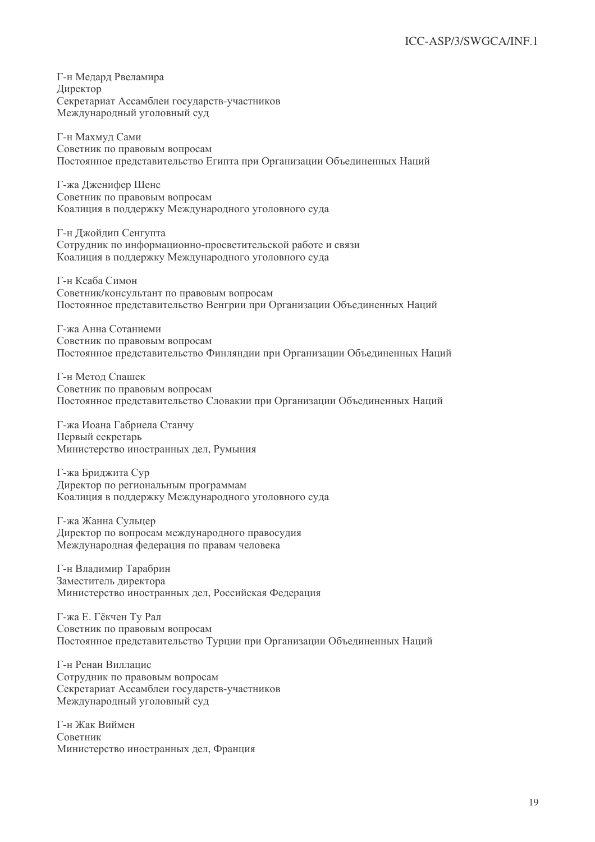Г-н Медард Рвеламира Директор Секретариат Ассамблеи государств-участников Международный уголовный суд

Г-н Махмуд Сами Советник по правовым вопросам Постоянное представительство Египта при Организации Объединенных Наций

Г-жа Лженифер Шенс Советник по правовым вопросам Коалиция в поддержку Международного уголовного суда

Г-н Лжойлип Сенгупта Сотрудник по информационно-просветительской работе и связи Коалиция в поддержку Международного уголовного суда

Г-н Ксаба Симон Советник/консультант по правовым вопросам Постоянное представительство Венгрии при Организации Объединенных Наций

Г-жа Анна Сотаниеми Советник по правовым вопросам Постоянное представительство Финляндии при Организации Объединенных Наций

Г-н Метод Спашек Советник по правовым вопросам Постоянное представительство Словакии при Организации Объединенных Наций

Г-жа Иоана Габриела Станчу Первый секретарь Министерство иностранных дел, Румыния

Г-жа Бриджита Сур Директор по региональным программам Коалиция в поддержку Международного уголовного суда

Г-жа Жанна Сульцер Директор по вопросам международного правосудия Международная федерация по правам человека

Г-н Владимир Тарабрин Заместитель директора Министерство иностранных дел, Российская Федерация

Г-жа Е. Гёкчен Ту Рал Советник по правовым вопросам Постоянное представительство Турции при Организации Объединенных Наций

Г-н Ренан Виллацис Сотрудник по правовым вопросам Секретариат Ассамблеи государств-участников Международный уголовный суд

Г-н Жак Виймен Советник Министерство иностранных дел, Франция